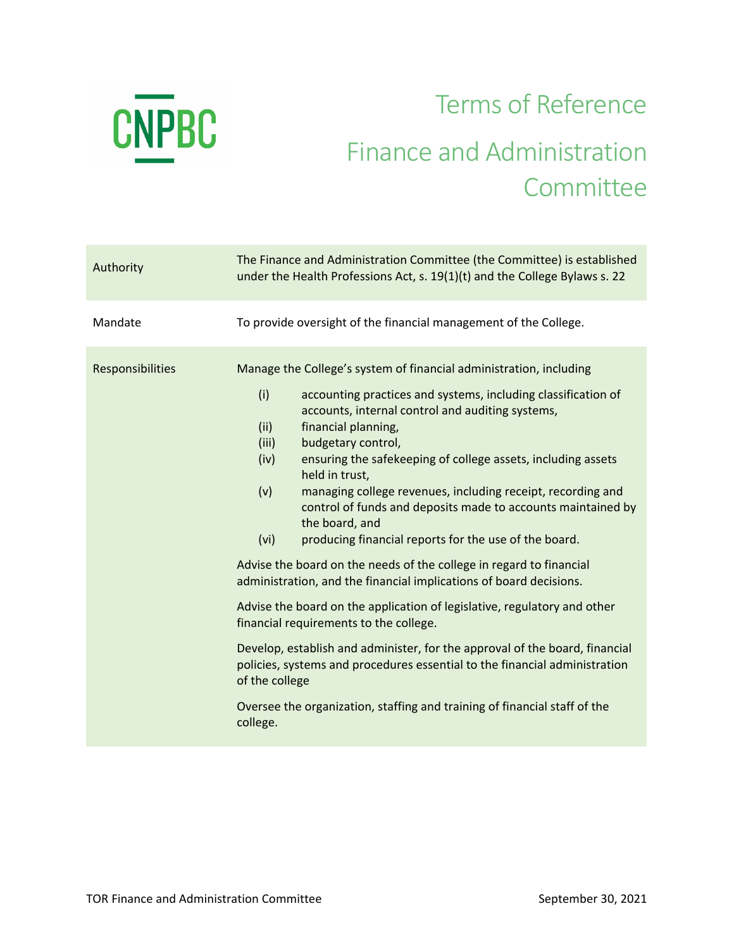

## Terms of Reference Finance and Administration **Committee**

| To provide oversight of the financial management of the College.<br>Mandate<br>Manage the College's system of financial administration, including<br>Responsibilities<br>(i)<br>accounting practices and systems, including classification of<br>accounts, internal control and auditing systems,<br>(ii)<br>financial planning,<br>budgetary control,<br>(iii)<br>ensuring the safekeeping of college assets, including assets<br>(iv)<br>held in trust,<br>(v)<br>managing college revenues, including receipt, recording and<br>control of funds and deposits made to accounts maintained by<br>the board, and<br>(vi)<br>producing financial reports for the use of the board.<br>Advise the board on the needs of the college in regard to financial<br>administration, and the financial implications of board decisions.<br>Advise the board on the application of legislative, regulatory and other<br>financial requirements to the college.<br>Develop, establish and administer, for the approval of the board, financial<br>policies, systems and procedures essential to the financial administration<br>of the college<br>Oversee the organization, staffing and training of financial staff of the<br>college. | Authority | The Finance and Administration Committee (the Committee) is established<br>under the Health Professions Act, s. 19(1)(t) and the College Bylaws s. 22 |
|-------------------------------------------------------------------------------------------------------------------------------------------------------------------------------------------------------------------------------------------------------------------------------------------------------------------------------------------------------------------------------------------------------------------------------------------------------------------------------------------------------------------------------------------------------------------------------------------------------------------------------------------------------------------------------------------------------------------------------------------------------------------------------------------------------------------------------------------------------------------------------------------------------------------------------------------------------------------------------------------------------------------------------------------------------------------------------------------------------------------------------------------------------------------------------------------------------------------------------|-----------|-------------------------------------------------------------------------------------------------------------------------------------------------------|
|                                                                                                                                                                                                                                                                                                                                                                                                                                                                                                                                                                                                                                                                                                                                                                                                                                                                                                                                                                                                                                                                                                                                                                                                                               |           |                                                                                                                                                       |
|                                                                                                                                                                                                                                                                                                                                                                                                                                                                                                                                                                                                                                                                                                                                                                                                                                                                                                                                                                                                                                                                                                                                                                                                                               |           |                                                                                                                                                       |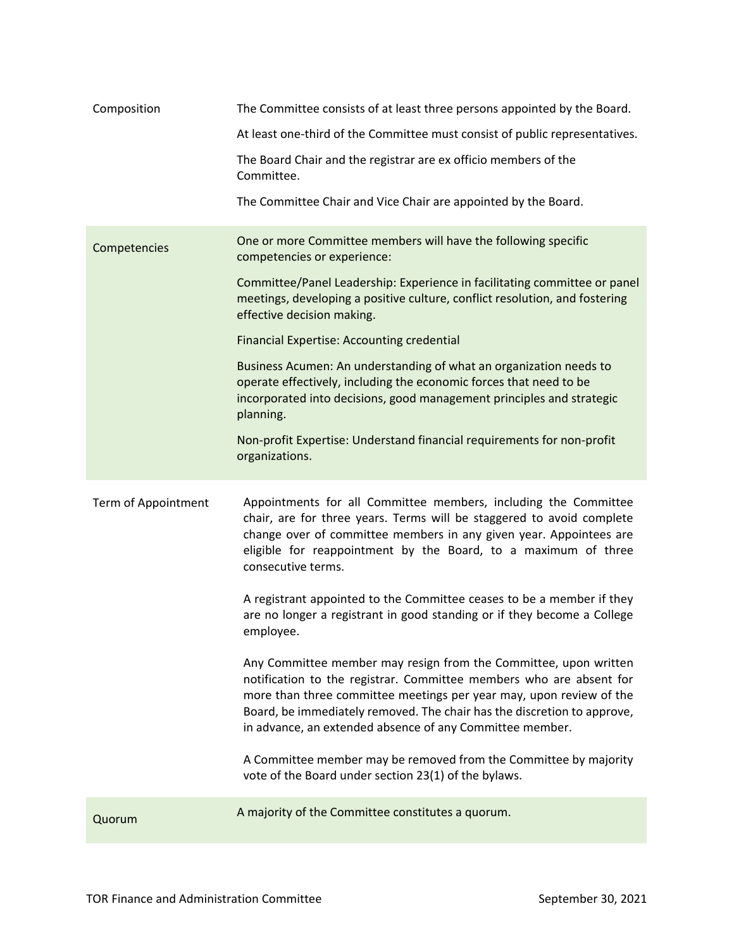| Composition         | The Committee consists of at least three persons appointed by the Board.                                                                                                                                                                                                                                                                              |
|---------------------|-------------------------------------------------------------------------------------------------------------------------------------------------------------------------------------------------------------------------------------------------------------------------------------------------------------------------------------------------------|
|                     | At least one-third of the Committee must consist of public representatives.                                                                                                                                                                                                                                                                           |
|                     | The Board Chair and the registrar are ex officio members of the<br>Committee.                                                                                                                                                                                                                                                                         |
|                     | The Committee Chair and Vice Chair are appointed by the Board.                                                                                                                                                                                                                                                                                        |
| Competencies        | One or more Committee members will have the following specific<br>competencies or experience:                                                                                                                                                                                                                                                         |
|                     | Committee/Panel Leadership: Experience in facilitating committee or panel<br>meetings, developing a positive culture, conflict resolution, and fostering<br>effective decision making.                                                                                                                                                                |
|                     | <b>Financial Expertise: Accounting credential</b>                                                                                                                                                                                                                                                                                                     |
|                     | Business Acumen: An understanding of what an organization needs to<br>operate effectively, including the economic forces that need to be<br>incorporated into decisions, good management principles and strategic<br>planning.                                                                                                                        |
|                     | Non-profit Expertise: Understand financial requirements for non-profit<br>organizations.                                                                                                                                                                                                                                                              |
| Term of Appointment | Appointments for all Committee members, including the Committee<br>chair, are for three years. Terms will be staggered to avoid complete<br>change over of committee members in any given year. Appointees are<br>eligible for reappointment by the Board, to a maximum of three<br>consecutive terms.                                                |
|                     | A registrant appointed to the Committee ceases to be a member if they<br>are no longer a registrant in good standing or if they become a College<br>employee.                                                                                                                                                                                         |
|                     | Any Committee member may resign from the Committee, upon written<br>notification to the registrar. Committee members who are absent for<br>more than three committee meetings per year may, upon review of the<br>Board, be immediately removed. The chair has the discretion to approve,<br>in advance, an extended absence of any Committee member. |
|                     | A Committee member may be removed from the Committee by majority<br>vote of the Board under section 23(1) of the bylaws.                                                                                                                                                                                                                              |
| Quorum              | A majority of the Committee constitutes a quorum.                                                                                                                                                                                                                                                                                                     |